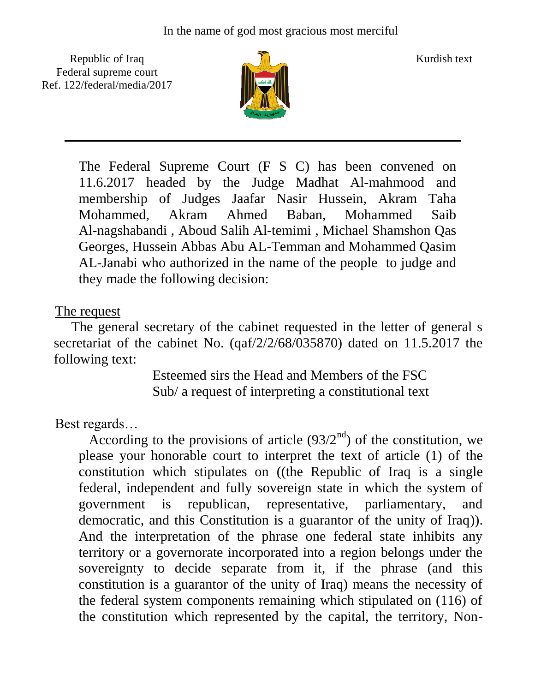Republic of Iraq  $\frac{1}{\sqrt{n}}$  Kurdish text Federal supreme court Ref. 122/federal/media/2017



The Federal Supreme Court (F S C) has been convened on 11.6.2017 headed by the Judge Madhat Al-mahmood and membership of Judges Jaafar Nasir Hussein, Akram Taha Mohammed, Akram Ahmed Baban, Mohammed Saib Al-nagshabandi , Aboud Salih Al-temimi , Michael Shamshon Qas Georges, Hussein Abbas Abu AL-Temman and Mohammed Qasim AL-Janabi who authorized in the name of the people to judge and they made the following decision:

## The request

 The general secretary of the cabinet requested in the letter of general s secretariat of the cabinet No. (qaf/2/2/68/035870) dated on 11.5.2017 the following text:

 Esteemed sirs the Head and Members of the FSC Sub/ a request of interpreting a constitutional text

Best regards…

According to the provisions of article  $(93/2<sup>nd</sup>)$  of the constitution, we please your honorable court to interpret the text of article (1) of the constitution which stipulates on ((the Republic of Iraq is a single federal, independent and fully sovereign state in which the system of government is republican, representative, parliamentary, and democratic, and this Constitution is a guarantor of the unity of Iraq)). And the interpretation of the phrase one federal state inhibits any territory or a governorate incorporated into a region belongs under the sovereignty to decide separate from it, if the phrase (and this constitution is a guarantor of the unity of Iraq) means the necessity of the federal system components remaining which stipulated on (116) of the constitution which represented by the capital, the territory, Non